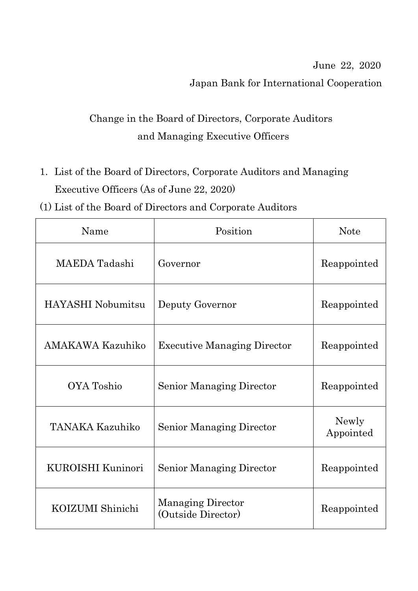# June 22, 2020

#### Japan Bank for International Cooperation

### Change in the Board of Directors, Corporate Auditors and Managing Executive Officers

- 1. List of the Board of Directors, Corporate Auditors and Managing Executive Officers (As of June 22, 2020)
- (1) List of the Board of Directors and Corporate Auditors

| Name                     | Position                                       | <b>Note</b>        |
|--------------------------|------------------------------------------------|--------------------|
| MAEDA Tadashi            | Governor                                       | Reappointed        |
| <b>HAYASHI</b> Nobumitsu | Deputy Governor                                | Reappointed        |
| AMAKAWA Kazuhiko         | <b>Executive Managing Director</b>             | Reappointed        |
| OYA Toshio               | <b>Senior Managing Director</b>                | Reappointed        |
| <b>TANAKA Kazuhiko</b>   | <b>Senior Managing Director</b>                | Newly<br>Appointed |
| <b>KUROISHI Kuninori</b> | <b>Senior Managing Director</b>                | Reappointed        |
| KOIZUMI Shinichi         | <b>Managing Director</b><br>(Outside Director) | Reappointed        |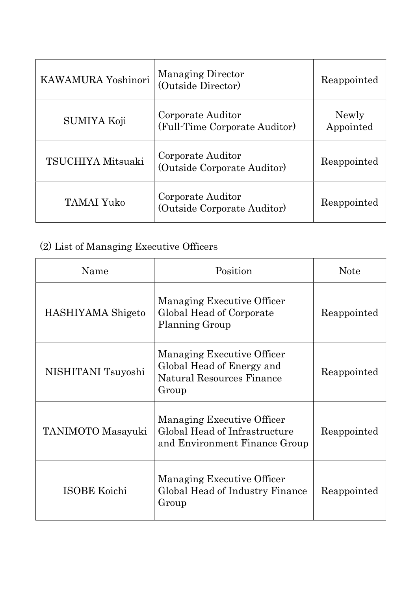| KAWAMURA Yoshinori | <b>Managing Director</b><br>(Outside Director)     | Reappointed        |
|--------------------|----------------------------------------------------|--------------------|
| SUMIYA Koji        | Corporate Auditor<br>(Full-Time Corporate Auditor) | Newly<br>Appointed |
| TSUCHIYA Mitsuaki  | Corporate Auditor<br>(Outside Corporate Auditor)   | Reappointed        |
| <b>TAMAI Yuko</b>  | Corporate Auditor<br>(Outside Corporate Auditor)   | Reappointed        |

# (2) List of Managing Executive Officers

| Name                | Position                                                                                      | <b>Note</b> |
|---------------------|-----------------------------------------------------------------------------------------------|-------------|
| HASHIYAMA Shigeto   | Managing Executive Officer<br>Global Head of Corporate<br>Planning Group                      | Reappointed |
| NISHITANI Tsuyoshi  | Managing Executive Officer<br>Global Head of Energy and<br>Natural Resources Finance<br>Group | Reappointed |
| TANIMOTO Masayuki   | Managing Executive Officer<br>Global Head of Infrastructure<br>and Environment Finance Group  | Reappointed |
| <b>ISOBE Koichi</b> | Managing Executive Officer<br>Global Head of Industry Finance<br>Group                        | Reappointed |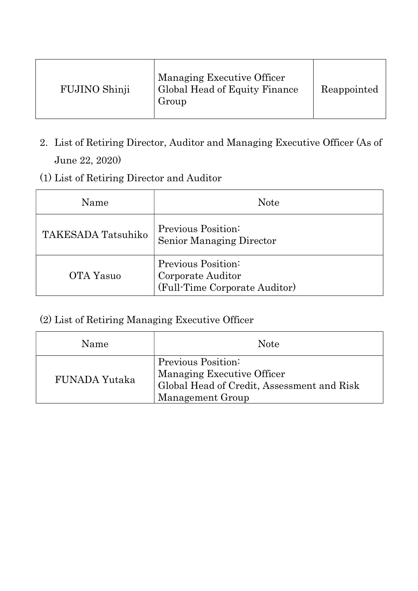| FUJINO Shinji | Managing Executive Officer<br><b>Global Head of Equity Finance</b><br>Group | Reappointed |
|---------------|-----------------------------------------------------------------------------|-------------|
|---------------|-----------------------------------------------------------------------------|-------------|

- 2. List of Retiring Director, Auditor and Managing Executive Officer (As of June 22, 2020)
- (1) List of Retiring Director and Auditor

| Name               | <b>Note</b>                                                              |
|--------------------|--------------------------------------------------------------------------|
| TAKESADA Tatsuhiko | Previous Position:<br><b>Senior Managing Director</b>                    |
| OTA Yasuo          | Previous Position:<br>Corporate Auditor<br>(Full-Time Corporate Auditor) |

(2) List of Retiring Managing Executive Officer

| Name                 | <b>Note</b>                                                                                                        |
|----------------------|--------------------------------------------------------------------------------------------------------------------|
| <b>FUNADA Yutaka</b> | Previous Position:<br>Managing Executive Officer<br>Global Head of Credit, Assessment and Risk<br>Management Group |